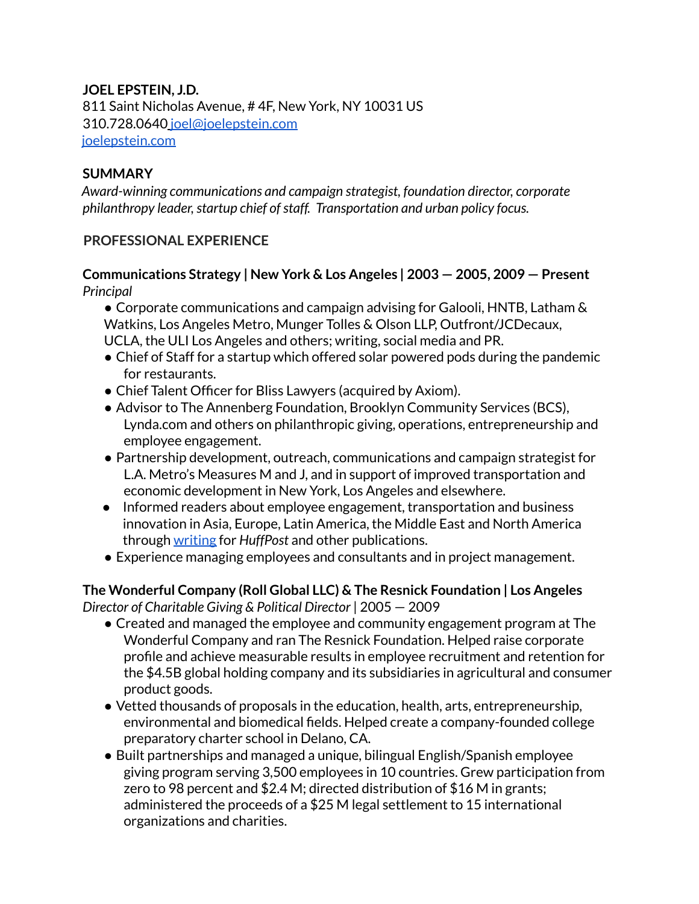# **JOEL EPSTEIN, J.D.**

811 Saint Nicholas Avenue, # 4F, New York, NY 10031 US 310.728.0640 joel@joelepstein.com joelepstein.com

### **SUMMARY**

*Award-winning communications and campaign strategist, foundation director, corporate philanthropy leader, startup chief of staff. Transportation and urban policy focus.* 

### **PROFESSIONAL EXPERIENCE**

### **Communications Strategy | New York & Los Angeles** *|* **2003 — 2005, 2009 — Present** *Principal*

● Corporate communications and campaign advising for Galooli, HNTB, Latham & Watkins, Los Angeles Metro, Munger Tolles & Olson LLP, Outfront/JCDecaux, UCLA, the ULI Los Angeles and others; writing, social media and PR.

- Chief of Staff for a startup which offered solar powered pods during the pandemic for restaurants.
- Chief Talent Officer for Bliss Lawyers (acquired by Axiom).
- Advisor to The Annenberg Foundation, Brooklyn Community Services (BCS), Lynda.com and others on philanthropic giving, operations, entrepreneurship and employee engagement.
- Partnership development, outreach, communications and campaign strategist for L.A. Metro's Measures M and J, and in support of improved transportation and economic development in New York, Los Angeles and elsewhere.
- Informed readers about employee engagement, transportation and business innovation in Asia, Europe, Latin America, the Middle East and North America through [writing](https://www.joelepstein.com/publications) for *HuffPost* and other publications.
- Experience managing employees and consultants and in project management.

#### **The Wonderful Company (Roll Global LLC) & The Resnick Foundation | Los Angeles** *Director of Charitable Giving & Political Director* | 2005 — 2009

- Created and managed the employee and community engagement program at The Wonderful Company and ran The Resnick Foundation. Helped raise corporate profile and achieve measurable results in employee recruitment and retention for the \$4.5B global holding company and its subsidiaries in agricultural and consumer product goods.
- Vetted thousands of proposals in the education, health, arts, entrepreneurship, environmental and biomedical fields. Helped create a company-founded college preparatory charter school in Delano, CA.
- Built partnerships and managed a unique, bilingual English/Spanish employee giving program serving 3,500 employees in 10 countries. Grew participation from zero to 98 percent and \$2.4 M; directed distribution of \$16 M in grants; administered the proceeds of a \$25 M legal settlement to 15 international organizations and charities.